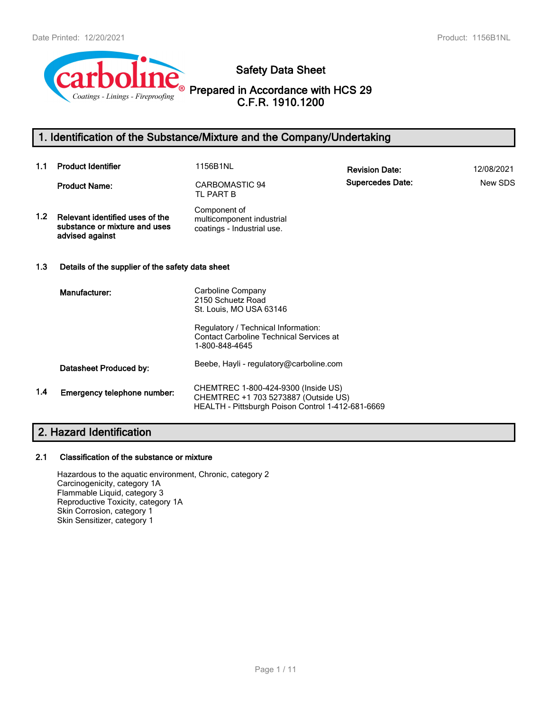

**Safety Data Sheet**

**Prepared in Accordance with HCS 29 C.F.R. 1910.1200**

# **1. Identification of the Substance/Mixture and the Company/Undertaking**

| 1.1              | <b>Product Identifier</b>                                                           | 1156B1NL                                                                                                                         | <b>Revision Date:</b>   | 12/08/2021 |
|------------------|-------------------------------------------------------------------------------------|----------------------------------------------------------------------------------------------------------------------------------|-------------------------|------------|
|                  | <b>Product Name:</b>                                                                | CARBOMASTIC 94<br>TL PART B                                                                                                      | <b>Supercedes Date:</b> | New SDS    |
| 1.2 <sub>1</sub> | Relevant identified uses of the<br>substance or mixture and uses<br>advised against | Component of<br>multicomponent industrial<br>coatings - Industrial use.                                                          |                         |            |
| 1.3              | Details of the supplier of the safety data sheet                                    |                                                                                                                                  |                         |            |
|                  | Manufacturer:                                                                       | Carboline Company<br>2150 Schuetz Road<br>St. Louis, MO USA 63146                                                                |                         |            |
|                  |                                                                                     | Regulatory / Technical Information:<br><b>Contact Carboline Technical Services at</b><br>1-800-848-4645                          |                         |            |
|                  | Datasheet Produced by:                                                              | Beebe, Hayli - regulatory@carboline.com                                                                                          |                         |            |
| 1.4              | Emergency telephone number:                                                         | CHEMTREC 1-800-424-9300 (Inside US)<br>CHEMTREC +1 703 5273887 (Outside US)<br>HEALTH - Pittsburgh Poison Control 1-412-681-6669 |                         |            |

# **2. Hazard Identification**

## **2.1 Classification of the substance or mixture**

Hazardous to the aquatic environment, Chronic, category 2 Carcinogenicity, category 1A Flammable Liquid, category 3 Reproductive Toxicity, category 1A Skin Corrosion, category 1 Skin Sensitizer, category 1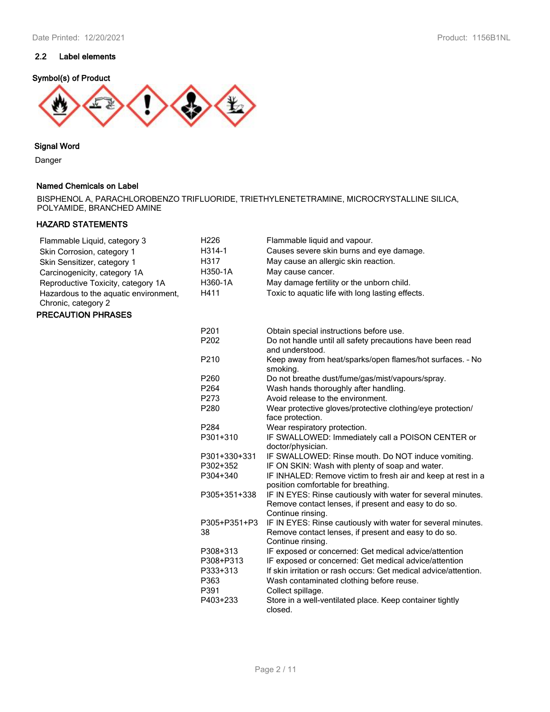# **2.2 Label elements**

## **Symbol(s) of Product**



## **Signal Word**

Danger

## **Named Chemicals on Label**

BISPHENOL A, PARACHLOROBENZO TRIFLUORIDE, TRIETHYLENETETRAMINE, MICROCRYSTALLINE SILICA, POLYAMIDE, BRANCHED AMINE

# **HAZARD STATEMENTS**

| Flammable Liquid, category 3<br>Skin Corrosion, category 1<br>Skin Sensitizer, category 1<br>Carcinogenicity, category 1A<br>Reproductive Toxicity, category 1A<br>Hazardous to the aquatic environment,<br>Chronic, category 2<br><b>PRECAUTION PHRASES</b> | H226<br>H314-1<br>H317<br>H350-1A<br>H360-1A<br>H411 | Flammable liquid and vapour.<br>Causes severe skin burns and eye damage.<br>May cause an allergic skin reaction.<br>May cause cancer.<br>May damage fertility or the unborn child.<br>Toxic to aquatic life with long lasting effects. |
|--------------------------------------------------------------------------------------------------------------------------------------------------------------------------------------------------------------------------------------------------------------|------------------------------------------------------|----------------------------------------------------------------------------------------------------------------------------------------------------------------------------------------------------------------------------------------|
|                                                                                                                                                                                                                                                              | P <sub>201</sub>                                     | Obtain special instructions before use.                                                                                                                                                                                                |

| P <sub>201</sub>   | Obtain special instructions before use.                                                                                                   |
|--------------------|-------------------------------------------------------------------------------------------------------------------------------------------|
| P <sub>202</sub>   | Do not handle until all safety precautions have been read<br>and understood.                                                              |
| P <sub>210</sub>   | Keep away from heat/sparks/open flames/hot surfaces. - No<br>smoking.                                                                     |
| P <sub>260</sub>   | Do not breathe dust/fume/gas/mist/vapours/spray.                                                                                          |
| P <sub>264</sub>   | Wash hands thoroughly after handling.                                                                                                     |
| P273               | Avoid release to the environment.                                                                                                         |
| P <sub>280</sub>   | Wear protective gloves/protective clothing/eye protection/<br>face protection.                                                            |
| P <sub>284</sub>   | Wear respiratory protection.                                                                                                              |
| P301+310           | IF SWALLOWED: Immediately call a POISON CENTER or<br>doctor/physician.                                                                    |
| P301+330+331       | IF SWALLOWED: Rinse mouth. Do NOT induce vomiting.                                                                                        |
| P302+352           | IF ON SKIN: Wash with plenty of soap and water.                                                                                           |
| P304+340           | IF INHALED: Remove victim to fresh air and keep at rest in a<br>position comfortable for breathing.                                       |
| P305+351+338       | IF IN EYES: Rinse cautiously with water for several minutes.<br>Remove contact lenses, if present and easy to do so.<br>Continue rinsing. |
| P305+P351+P3<br>38 | IF IN EYES: Rinse cautiously with water for several minutes.<br>Remove contact lenses, if present and easy to do so.<br>Continue rinsing. |
| P308+313           | IF exposed or concerned: Get medical advice/attention                                                                                     |
| P308+P313          | IF exposed or concerned: Get medical advice/attention                                                                                     |
| P333+313           | If skin irritation or rash occurs: Get medical advice/attention.                                                                          |
| P363               | Wash contaminated clothing before reuse.                                                                                                  |
| P391               | Collect spillage.                                                                                                                         |
| P403+233           | Store in a well-ventilated place. Keep container tightly<br>closed.                                                                       |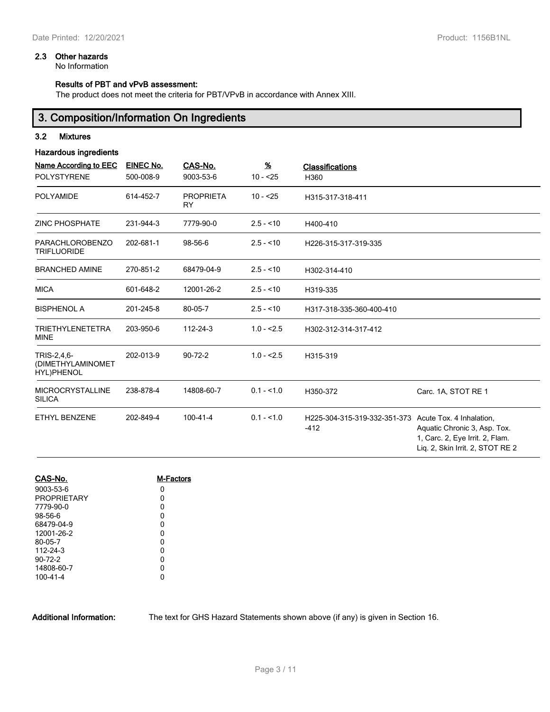## **2.3 Other hazards**

No Information

## **Results of PBT and vPvB assessment:**

The product does not meet the criteria for PBT/VPvB in accordance with Annex XIII.

# **3. Composition/Information On Ingredients**

## **3.2 Mixtures**

## **Hazardous ingredients**

| Name According to EEC<br><b>POLYSTYRENE</b>    | EINEC No.<br>500-008-9 | CAS-No.<br>9003-53-6          | $\underline{\mathcal{H}}$<br>$10 - 25$ | <b>Classifications</b><br>H360         |                                                                                                                                 |
|------------------------------------------------|------------------------|-------------------------------|----------------------------------------|----------------------------------------|---------------------------------------------------------------------------------------------------------------------------------|
|                                                |                        |                               |                                        |                                        |                                                                                                                                 |
| <b>POLYAMIDE</b>                               | 614-452-7              | <b>PROPRIETA</b><br><b>RY</b> | $10 - 25$                              | H315-317-318-411                       |                                                                                                                                 |
| <b>ZINC PHOSPHATE</b>                          | 231-944-3              | 7779-90-0                     | $2.5 - 10$                             | H400-410                               |                                                                                                                                 |
| <b>PARACHLOROBENZO</b><br><b>TRIFLUORIDE</b>   | 202-681-1              | 98-56-6                       | $2.5 - 10$                             | H226-315-317-319-335                   |                                                                                                                                 |
| <b>BRANCHED AMINE</b>                          | 270-851-2              | 68479-04-9                    | $2.5 - 10$                             | H302-314-410                           |                                                                                                                                 |
| <b>MICA</b>                                    | 601-648-2              | 12001-26-2                    | $2.5 - 10$                             | H319-335                               |                                                                                                                                 |
| <b>BISPHENOL A</b>                             | 201-245-8              | 80-05-7                       | $2.5 - 10$                             | H317-318-335-360-400-410               |                                                                                                                                 |
| <b>TRIETHYLENETETRA</b><br><b>MINE</b>         | 203-950-6              | 112-24-3                      | $1.0 - 2.5$                            | H302-312-314-317-412                   |                                                                                                                                 |
| TRIS-2,4,6-<br>(DIMETHYLAMINOMET<br>HYL)PHENOL | 202-013-9              | $90 - 72 - 2$                 | $1.0 - 2.5$                            | H315-319                               |                                                                                                                                 |
| <b>MICROCRYSTALLINE</b><br><b>SILICA</b>       | 238-878-4              | 14808-60-7                    | $0.1 - 1.0$                            | H350-372                               | Carc. 1A, STOT RE 1                                                                                                             |
| <b>ETHYL BENZENE</b>                           | 202-849-4              | 100-41-4                      | $0.1 - 1.0$                            | H225-304-315-319-332-351-373<br>$-412$ | Acute Tox. 4 Inhalation,<br>Aquatic Chronic 3, Asp. Tox.<br>1, Carc. 2, Eye Irrit. 2, Flam.<br>Lig. 2, Skin Irrit. 2, STOT RE 2 |

| CAS-No.            | M-Factors |
|--------------------|-----------|
| 9003-53-6          | 0         |
| <b>PROPRIETARY</b> | 0         |
| 7779-90-0          | 0         |
| 98-56-6            | 0         |
| 68479-04-9         | 0         |
| 12001-26-2         | 0         |
| 80-05-7            | 0         |
| 112-24-3           | 0         |
| $90 - 72 - 2$      | 0         |
| 14808-60-7         | 0         |
| 100-41-4           | U         |

**Additional Information:** The text for GHS Hazard Statements shown above (if any) is given in Section 16.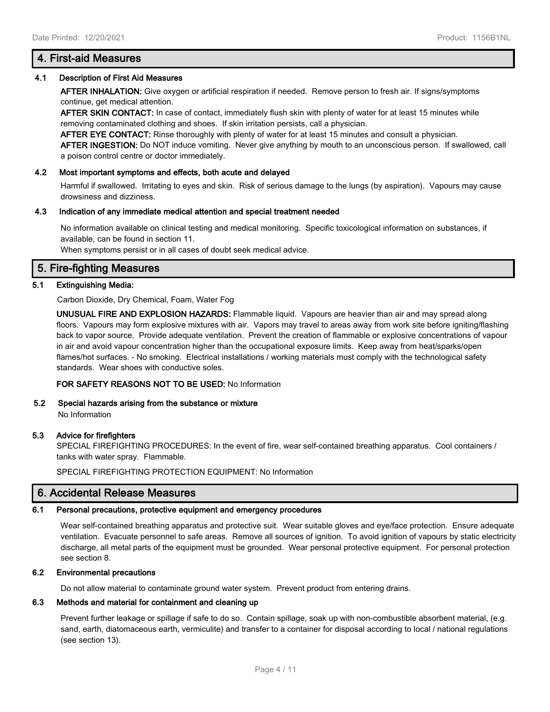## **4.1 Description of First Aid Measures**

**AFTER INHALATION:** Give oxygen or artificial respiration if needed. Remove person to fresh air. If signs/symptoms continue, get medical attention.

**AFTER SKIN CONTACT:** In case of contact, immediately flush skin with plenty of water for at least 15 minutes while removing contaminated clothing and shoes. If skin irritation persists, call a physician.

**AFTER EYE CONTACT:** Rinse thoroughly with plenty of water for at least 15 minutes and consult a physician.

**AFTER INGESTION:** Do NOT induce vomiting. Never give anything by mouth to an unconscious person. If swallowed, call a poison control centre or doctor immediately.

## **4.2 Most important symptoms and effects, both acute and delayed**

Harmful if swallowed. Irritating to eyes and skin. Risk of serious damage to the lungs (by aspiration). Vapours may cause drowsiness and dizziness.

#### **4.3 Indication of any immediate medical attention and special treatment needed**

No information available on clinical testing and medical monitoring. Specific toxicological information on substances, if available, can be found in section 11.

When symptoms persist or in all cases of doubt seek medical advice.

# **5. Fire-fighting Measures**

## **5.1 Extinguishing Media:**

Carbon Dioxide, Dry Chemical, Foam, Water Fog

**UNUSUAL FIRE AND EXPLOSION HAZARDS:** Flammable liquid. Vapours are heavier than air and may spread along floors. Vapours may form explosive mixtures with air. Vapors may travel to areas away from work site before igniting/flashing back to vapor source. Provide adequate ventilation. Prevent the creation of flammable or explosive concentrations of vapour in air and avoid vapour concentration higher than the occupational exposure limits. Keep away from heat/sparks/open flames/hot surfaces. - No smoking. Electrical installations / working materials must comply with the technological safety standards. Wear shoes with conductive soles.

**FOR SAFETY REASONS NOT TO BE USED:** No Information

# **5.2 Special hazards arising from the substance or mixture**

No Information

## **5.3 Advice for firefighters**

SPECIAL FIREFIGHTING PROCEDURES: In the event of fire, wear self-contained breathing apparatus. Cool containers / tanks with water spray. Flammable.

SPECIAL FIREFIGHTING PROTECTION EQUIPMENT: No Information

# **6. Accidental Release Measures**

## **6.1 Personal precautions, protective equipment and emergency procedures**

Wear self-contained breathing apparatus and protective suit. Wear suitable gloves and eye/face protection. Ensure adequate ventilation. Evacuate personnel to safe areas. Remove all sources of ignition. To avoid ignition of vapours by static electricity discharge, all metal parts of the equipment must be grounded. Wear personal protective equipment. For personal protection see section 8.

## **6.2 Environmental precautions**

Do not allow material to contaminate ground water system. Prevent product from entering drains.

#### **6.3 Methods and material for containment and cleaning up**

Prevent further leakage or spillage if safe to do so. Contain spillage, soak up with non-combustible absorbent material, (e.g. sand, earth, diatomaceous earth, vermiculite) and transfer to a container for disposal according to local / national regulations (see section 13).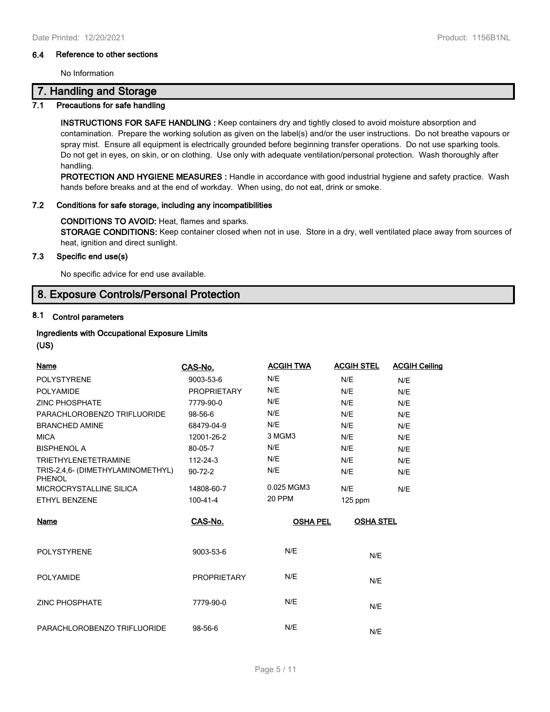## **6.4 Reference to other sections**

No Information

# **7. Handling and Storage**

## **7.1 Precautions for safe handling**

**INSTRUCTIONS FOR SAFE HANDLING :** Keep containers dry and tightly closed to avoid moisture absorption and contamination. Prepare the working solution as given on the label(s) and/or the user instructions. Do not breathe vapours or spray mist. Ensure all equipment is electrically grounded before beginning transfer operations. Do not use sparking tools. Do not get in eyes, on skin, or on clothing. Use only with adequate ventilation/personal protection. Wash thoroughly after handling.

**PROTECTION AND HYGIENE MEASURES :** Handle in accordance with good industrial hygiene and safety practice. Wash hands before breaks and at the end of workday. When using, do not eat, drink or smoke.

## **7.2 Conditions for safe storage, including any incompatibilities**

## **CONDITIONS TO AVOID:** Heat, flames and sparks.

**STORAGE CONDITIONS:** Keep container closed when not in use. Store in a dry, well ventilated place away from sources of heat, ignition and direct sunlight.

## **7.3 Specific end use(s)**

No specific advice for end use available.

# **8. Exposure Controls/Personal Protection**

# **8.1 Control parameters**

## **Ingredients with Occupational Exposure Limits (US)**

| Name                                               | CAS-No.            | <b>ACGIH TWA</b> | <b>ACGIH STEL</b> | <b>ACGIH Ceiling</b> |
|----------------------------------------------------|--------------------|------------------|-------------------|----------------------|
| <b>POLYSTYRENE</b>                                 | 9003-53-6          | N/E              | N/E               | N/E                  |
| <b>POLYAMIDE</b>                                   | <b>PROPRIETARY</b> | N/E              | N/E               | N/E                  |
| <b>ZINC PHOSPHATE</b>                              | 7779-90-0          | N/E              | N/E               | N/E                  |
| PARACHLOROBENZO TRIFLUORIDE                        | 98-56-6            | N/E              | N/E               | N/E                  |
| <b>BRANCHED AMINE</b>                              | 68479-04-9         | N/E              | N/E               | N/E                  |
| <b>MICA</b>                                        | 12001-26-2         | 3 MGM3           | N/E               | N/E                  |
| <b>BISPHENOL A</b>                                 | 80-05-7            | N/E              | N/E               | N/E                  |
| <b>TRIETHYLENETETRAMINE</b>                        | $112 - 24 - 3$     | N/E              | N/E               | N/E                  |
| TRIS-2,4,6- (DIMETHYLAMINOMETHYL)<br><b>PHENOL</b> | $90 - 72 - 2$      | N/E              | N/E               | N/E                  |
| MICROCRYSTALLINE SILICA                            | 14808-60-7         | 0.025 MGM3       | N/E               | N/E                  |
| ETHYL BENZENE                                      | $100 - 41 - 4$     | 20 PPM           | $125$ ppm         |                      |
| Name                                               | CAS-No.            | <b>OSHA PEL</b>  | <b>OSHA STEL</b>  |                      |
| <b>POLYSTYRENE</b>                                 | 9003-53-6          | N/E              | N/E               |                      |
| <b>POLYAMIDE</b>                                   | <b>PROPRIETARY</b> | N/E              | N/E               |                      |
| <b>ZINC PHOSPHATE</b>                              | 7779-90-0          | N/E              | N/E               |                      |
| PARACHLOROBENZO TRIFLUORIDE                        | 98-56-6            | N/E              | N/E               |                      |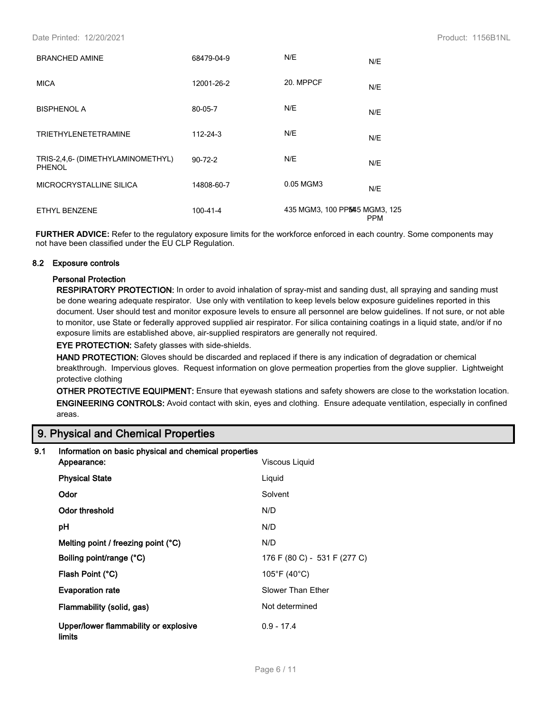| <b>BRANCHED AMINE</b>                              | 68479-04-9    | N/E                            | N/E        |
|----------------------------------------------------|---------------|--------------------------------|------------|
| <b>MICA</b>                                        | 12001-26-2    | 20. MPPCF                      | N/E        |
| <b>BISPHENOL A</b>                                 | 80-05-7       | N/E                            | N/E        |
| <b>TRIETHYLENETETRAMINE</b>                        | 112-24-3      | N/E                            | N/E        |
| TRIS-2,4,6- (DIMETHYLAMINOMETHYL)<br><b>PHENOL</b> | $90 - 72 - 2$ | N/E                            | N/E        |
| MICROCRYSTALLINE SILICA                            | 14808-60-7    | 0.05 MGM3                      | N/E        |
| <b>ETHYL BENZENE</b>                               | 100-41-4      | 435 MGM3, 100 PP5445 MGM3, 125 | <b>PPM</b> |

**FURTHER ADVICE:** Refer to the regulatory exposure limits for the workforce enforced in each country. Some components may not have been classified under the EU CLP Regulation.

#### **8.2 Exposure controls**

## **Personal Protection**

**RESPIRATORY PROTECTION:** In order to avoid inhalation of spray-mist and sanding dust, all spraying and sanding must be done wearing adequate respirator. Use only with ventilation to keep levels below exposure guidelines reported in this document. User should test and monitor exposure levels to ensure all personnel are below guidelines. If not sure, or not able to monitor, use State or federally approved supplied air respirator. For silica containing coatings in a liquid state, and/or if no exposure limits are established above, air-supplied respirators are generally not required.

**EYE PROTECTION:** Safety glasses with side-shields.

**HAND PROTECTION:** Gloves should be discarded and replaced if there is any indication of degradation or chemical breakthrough. Impervious gloves. Request information on glove permeation properties from the glove supplier. Lightweight protective clothing

**OTHER PROTECTIVE EQUIPMENT:** Ensure that eyewash stations and safety showers are close to the workstation location. **ENGINEERING CONTROLS:** Avoid contact with skin, eyes and clothing. Ensure adequate ventilation, especially in confined areas.

# **9. Physical and Chemical Properties**

| 9.1 | Information on basic physical and chemical properties |                              |
|-----|-------------------------------------------------------|------------------------------|
|     | Appearance:                                           | Viscous Liquid               |
|     | <b>Physical State</b>                                 | Liquid                       |
|     | Odor                                                  | Solvent                      |
|     | Odor threshold                                        | N/D                          |
|     | рH                                                    | N/D                          |
|     | Melting point / freezing point (°C)                   | N/D                          |
|     | Boiling point/range (°C)                              | 176 F (80 C) - 531 F (277 C) |
|     | Flash Point (°C)                                      | 105°F (40°C)                 |
|     | <b>Evaporation rate</b>                               | Slower Than Ether            |
|     | Flammability (solid, gas)                             | Not determined               |
|     | Upper/lower flammability or explosive<br>limits       | $0.9 - 17.4$                 |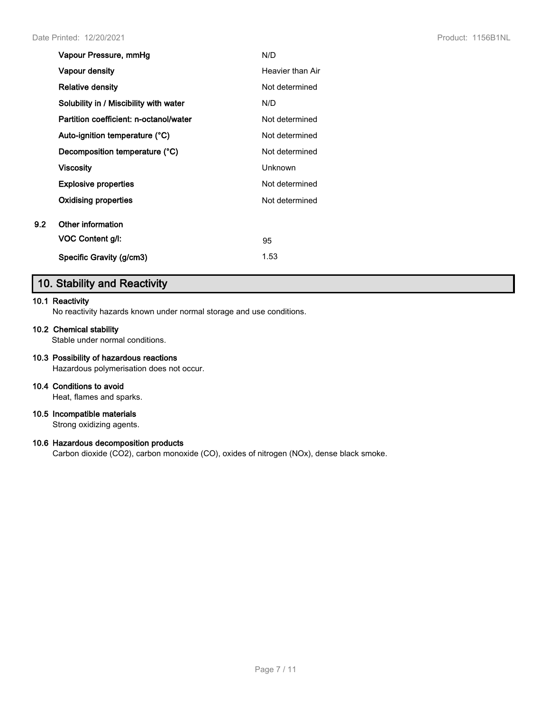|     | Vapour Pressure, mmHg                  | N/D              |
|-----|----------------------------------------|------------------|
|     | Vapour density                         | Heavier than Air |
|     | <b>Relative density</b>                | Not determined   |
|     | Solubility in / Miscibility with water | N/D              |
|     | Partition coefficient: n-octanol/water | Not determined   |
|     | Auto-ignition temperature (°C)         | Not determined   |
|     | Decomposition temperature (°C)         | Not determined   |
|     | Viscosity                              | Unknown          |
|     | <b>Explosive properties</b>            | Not determined   |
|     | Oxidising properties                   | Not determined   |
| 9.2 | Other information                      |                  |
|     | VOC Content g/l:                       | 95               |
|     | Specific Gravity (g/cm3)               | 1.53             |

# **10. Stability and Reactivity**

## **10.1 Reactivity**

No reactivity hazards known under normal storage and use conditions.

## **10.2 Chemical stability**

Stable under normal conditions.

# **10.3 Possibility of hazardous reactions**

Hazardous polymerisation does not occur.

# **10.4 Conditions to avoid**

Heat, flames and sparks.

# **10.5 Incompatible materials**

Strong oxidizing agents.

# **10.6 Hazardous decomposition products**

Carbon dioxide (CO2), carbon monoxide (CO), oxides of nitrogen (NOx), dense black smoke.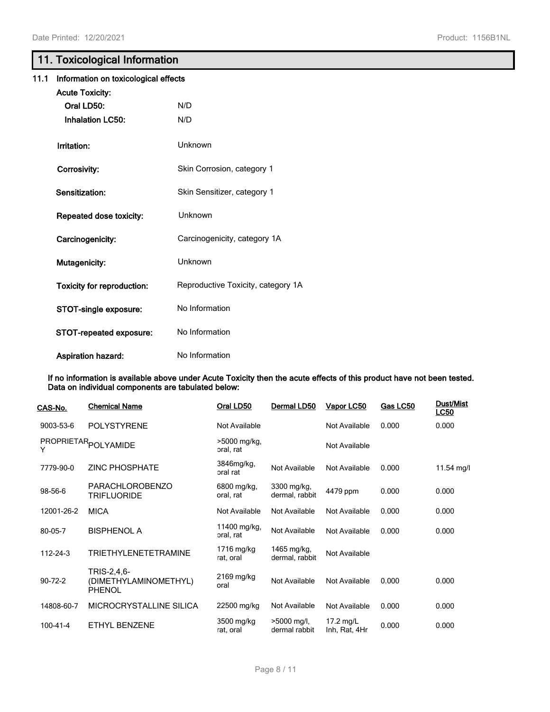# **11. Toxicological Information**

| 11.1 | Information on toxicological effects |                                    |  |  |  |
|------|--------------------------------------|------------------------------------|--|--|--|
|      | <b>Acute Toxicity:</b>               |                                    |  |  |  |
|      | Oral LD50:                           | N/D                                |  |  |  |
|      | <b>Inhalation LC50:</b>              | N/D                                |  |  |  |
|      | Irritation:                          | Unknown                            |  |  |  |
|      | Corrosivity:                         | Skin Corrosion, category 1         |  |  |  |
|      | Sensitization:                       | Skin Sensitizer, category 1        |  |  |  |
|      | Repeated dose toxicity:              | <b>Unknown</b>                     |  |  |  |
|      | Carcinogenicity:                     | Carcinogenicity, category 1A       |  |  |  |
|      | Mutagenicity:                        | Unknown                            |  |  |  |
|      | <b>Toxicity for reproduction:</b>    | Reproductive Toxicity, category 1A |  |  |  |
|      | STOT-single exposure:                | No Information                     |  |  |  |
|      | STOT-repeated exposure:              | No Information                     |  |  |  |
|      | <b>Aspiration hazard:</b>            | No Information                     |  |  |  |

**If no information is available above under Acute Toxicity then the acute effects of this product have not been tested. Data on individual components are tabulated below:**

| <u>CAS-No.</u> | <b>Chemical Name</b>                                  | Oral LD50                   | Dermal LD50                   | Vapor LC50                   | Gas LC50 | <b>Dust/Mist</b><br><b>LC50</b> |
|----------------|-------------------------------------------------------|-----------------------------|-------------------------------|------------------------------|----------|---------------------------------|
| 9003-53-6      | POLYSTYRENE                                           | Not Available               |                               | Not Available                | 0.000    | 0.000                           |
| Y              | PROPRIETAR <sub>POLYAMIDE</sub>                       | $>5000$ mg/kg,<br>oral, rat |                               | Not Available                |          |                                 |
| 7779-90-0      | <b>ZINC PHOSPHATE</b>                                 | 3846mg/kg,<br>oral rat      | Not Available                 | Not Available                | 0.000    | 11.54 mg/l                      |
| 98-56-6        | <b>PARACHLOROBENZO</b><br><b>TRIFLUORIDE</b>          | 6800 mg/kg,<br>oral, rat    | 3300 mg/kg,<br>dermal, rabbit | 4479 ppm                     | 0.000    | 0.000                           |
| 12001-26-2     | <b>MICA</b>                                           | Not Available               | Not Available                 | Not Available                | 0.000    | 0.000                           |
| 80-05-7        | <b>BISPHENOL A</b>                                    | 11400 mg/kg,<br>oral, rat   | Not Available                 | Not Available                | 0.000    | 0.000                           |
| 112-24-3       | <b>TRIETHYLENETETRAMINE</b>                           | 1716 mg/kg<br>rat, oral     | 1465 mg/kg,<br>dermal, rabbit | Not Available                |          |                                 |
| $90 - 72 - 2$  | TRIS-2,4,6-<br>(DIMETHYLAMINOMETHYL)<br><b>PHENOL</b> | 2169 mg/kg<br>oral          | Not Available                 | Not Available                | 0.000    | 0.000                           |
| 14808-60-7     | MICROCRYSTALLINE SILICA                               | 22500 mg/kg                 | Not Available                 | Not Available                | 0.000    | 0.000                           |
| 100-41-4       | <b>ETHYL BENZENE</b>                                  | 3500 mg/kg<br>rat, oral     | >5000 mg/l,<br>dermal rabbit  | $17.2$ mg/L<br>Inh, Rat, 4Hr | 0.000    | 0.000                           |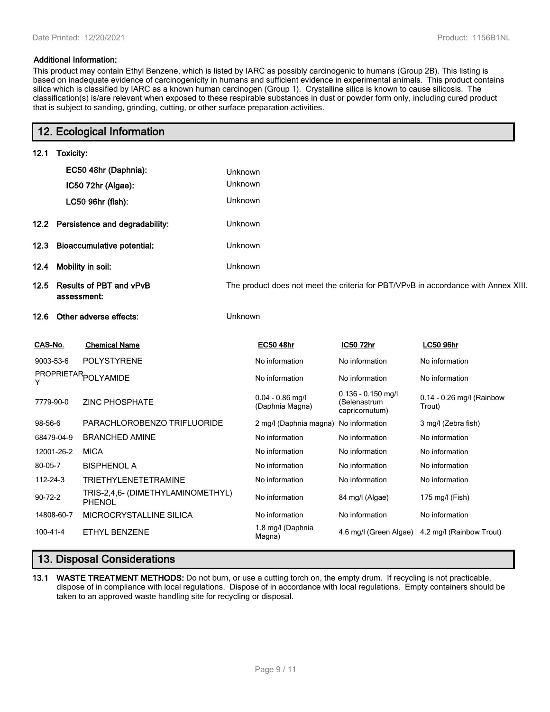## **Additional Information:**

**12. Ecological Information**

This product may contain Ethyl Benzene, which is listed by IARC as possibly carcinogenic to humans (Group 2B). This listing is based on inadequate evidence of carcinogenicity in humans and sufficient evidence in experimental animals. This product contains silica which is classified by IARC as a known human carcinogen (Group 1). Crystalline silica is known to cause silicosis. The classification(s) is/are relevant when exposed to these respirable substances in dust or powder form only, including cured product that is subject to sanding, grinding, cutting, or other surface preparation activities.

|               |                                               | 12. Ecological Information                         |         |                                       |                                                        |                                                                                    |  |  |
|---------------|-----------------------------------------------|----------------------------------------------------|---------|---------------------------------------|--------------------------------------------------------|------------------------------------------------------------------------------------|--|--|
| 12.1          | Toxicity:                                     |                                                    |         |                                       |                                                        |                                                                                    |  |  |
|               | EC50 48hr (Daphnia):                          |                                                    | Unknown |                                       |                                                        |                                                                                    |  |  |
|               |                                               | IC50 72hr (Algae):                                 | Unknown |                                       |                                                        |                                                                                    |  |  |
|               |                                               | LC50 96hr (fish):                                  | Unknown |                                       |                                                        |                                                                                    |  |  |
| 12.2          |                                               | Persistence and degradability:                     | Unknown |                                       |                                                        |                                                                                    |  |  |
| 12.3          | <b>Bioaccumulative potential:</b>             |                                                    | Unknown |                                       |                                                        |                                                                                    |  |  |
| 12.4          | Mobility in soil:                             |                                                    | Unknown |                                       |                                                        |                                                                                    |  |  |
| 12.5          | <b>Results of PBT and vPvB</b><br>assessment: |                                                    |         |                                       |                                                        | The product does not meet the criteria for PBT/VPvB in accordance with Annex XIII. |  |  |
| 12.6          |                                               | Other adverse effects:                             | Unknown |                                       |                                                        |                                                                                    |  |  |
| CAS-No.       |                                               | <b>Chemical Name</b>                               |         | EC50 48hr                             | IC50 72hr                                              | <b>LC50 96hr</b>                                                                   |  |  |
| 9003-53-6     |                                               | <b>POLYSTYRENE</b>                                 |         | No information                        | No information                                         | No information                                                                     |  |  |
| Y             |                                               | PROPRIETAR <sub>POLYAMIDE</sub>                    |         | No information                        | No information                                         | No information                                                                     |  |  |
| 7779-90-0     |                                               | <b>ZINC PHOSPHATE</b>                              |         | $0.04 - 0.86$ mg/l<br>(Daphnia Magna) | $0.136 - 0.150$ mg/l<br>(Selenastrum<br>capricornutum) | 0.14 - 0.26 mg/l (Rainbow<br>Trout)                                                |  |  |
| 98-56-6       |                                               | PARACHLOROBENZO TRIFLUORIDE                        |         | 2 mg/l (Daphnia magna)                | No information                                         | 3 mg/l (Zebra fish)                                                                |  |  |
|               | 68479-04-9                                    | <b>BRANCHED AMINE</b>                              |         | No information                        | No information                                         | No information                                                                     |  |  |
|               | 12001-26-2                                    | <b>MICA</b>                                        |         | No information                        | No information                                         | No information                                                                     |  |  |
| 80-05-7       |                                               | <b>BISPHENOL A</b>                                 |         | No information                        | No information                                         | No information                                                                     |  |  |
| 112-24-3      |                                               | TRIETHYLENETETRAMINE                               |         | No information                        | No information                                         | No information                                                                     |  |  |
| $90 - 72 - 2$ |                                               | TRIS-2,4,6- (DIMETHYLAMINOMETHYL)<br><b>PHENOL</b> |         | No information                        | 84 mg/l (Algae)                                        | 175 mg/l (Fish)                                                                    |  |  |
|               | 14808-60-7                                    | MICROCRYSTALLINE SILICA                            |         | No information                        | No information                                         | No information                                                                     |  |  |
| 100-41-4      |                                               | <b>ETHYL BENZENE</b>                               |         | 1.8 mg/l (Daphnia<br>Magna)           |                                                        | 4.6 mg/l (Green Algae) 4.2 mg/l (Rainbow Trout)                                    |  |  |
|               |                                               |                                                    |         |                                       |                                                        |                                                                                    |  |  |

# **13. Disposal Considerations**

**13.1 WASTE TREATMENT METHODS:** Do not burn, or use a cutting torch on, the empty drum. If recycling is not practicable, dispose of in compliance with local regulations. Dispose of in accordance with local regulations. Empty containers should be taken to an approved waste handling site for recycling or disposal.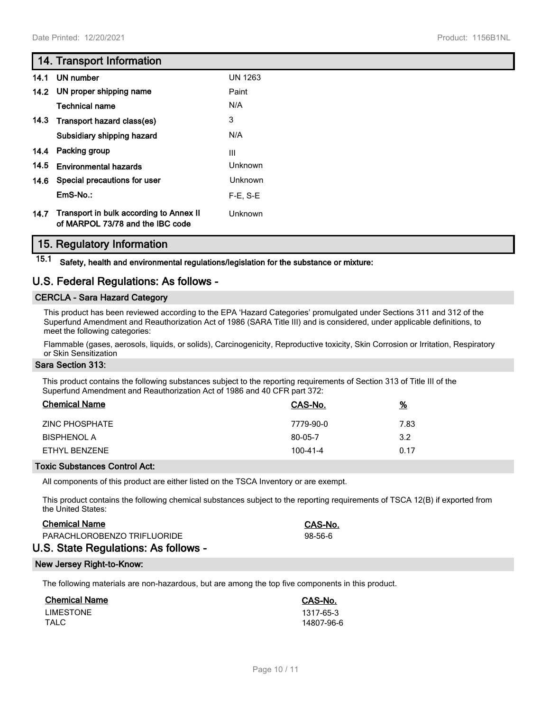# **14. Transport Information**

| 14.1 | UN number                                                                        | <b>UN 1263</b> |
|------|----------------------------------------------------------------------------------|----------------|
|      | 14.2 UN proper shipping name                                                     | Paint          |
|      | <b>Technical name</b>                                                            | N/A            |
|      | 14.3 Transport hazard class(es)                                                  | 3              |
|      | Subsidiary shipping hazard                                                       | N/A            |
|      | 14.4 Packing group                                                               | III            |
| 14.5 | <b>Environmental hazards</b>                                                     | <b>Unknown</b> |
|      | 14.6 Special precautions for user                                                | <b>Unknown</b> |
|      | EmS-No.:                                                                         | $F-E$ , S-E    |
|      | 14.7 Transport in bulk according to Annex II<br>of MARPOL 73/78 and the IBC code | <b>Unknown</b> |

# **15. Regulatory Information**

**15.1 Safety, health and environmental regulations/legislation for the substance or mixture:**

# **U.S. Federal Regulations: As follows -**

## **CERCLA - Sara Hazard Category**

This product has been reviewed according to the EPA 'Hazard Categories' promulgated under Sections 311 and 312 of the Superfund Amendment and Reauthorization Act of 1986 (SARA Title III) and is considered, under applicable definitions, to meet the following categories:

Flammable (gases, aerosols, liquids, or solids), Carcinogenicity, Reproductive toxicity, Skin Corrosion or Irritation, Respiratory or Skin Sensitization

## **Sara Section 313:**

This product contains the following substances subject to the reporting requirements of Section 313 of Title III of the Superfund Amendment and Reauthorization Act of 1986 and 40 CFR part 372:

| <b>Chemical Name</b> | CAS-No.   | $\frac{9}{6}$ |
|----------------------|-----------|---------------|
| ZINC PHOSPHATE       | 7779-90-0 | 7.83          |
| <b>BISPHENOL A</b>   | 80-05-7   | 3.2           |
| FTHYL BENZENE        | 100-41-4  | 0.17          |

## **Toxic Substances Control Act:**

All components of this product are either listed on the TSCA Inventory or are exempt.

This product contains the following chemical substances subject to the reporting requirements of TSCA 12(B) if exported from the United States:

## **Chemical Name CAS-No.**

| PARACHLOROBENZO TRIFLUORIDE |   |  |  |  | 98-56-6 |  |  |
|-----------------------------|---|--|--|--|---------|--|--|
|                             | . |  |  |  |         |  |  |

# **U.S. State Regulations: As follows -**

## **New Jersey Right-to-Know:**

The following materials are non-hazardous, but are among the top five components in this product.

| <b>Chemical Name</b> | CAS-No.    |
|----------------------|------------|
| <b>LIMESTONE</b>     | 1317-65-3  |
| TALC                 | 14807-96-6 |